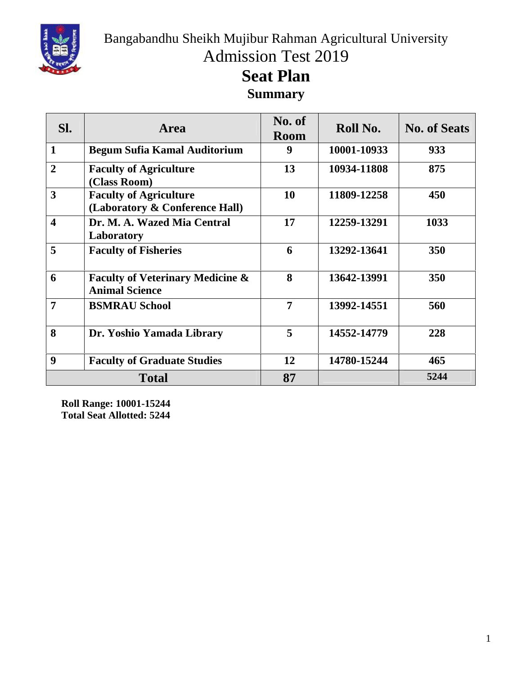

Bangabandhu Sheikh Mujibur Rahman Agricultural University Admission Test 2019

## **Seat Plan Summary**

| SI.                     | <b>Area</b>                                                          | No. of<br><b>Room</b> | Roll No.    | <b>No. of Seats</b> |
|-------------------------|----------------------------------------------------------------------|-----------------------|-------------|---------------------|
| $\mathbf{1}$            | <b>Begum Sufia Kamal Auditorium</b>                                  | 9                     | 10001-10933 | 933                 |
| $\overline{2}$          | <b>Faculty of Agriculture</b><br>(Class Room)                        | 13                    | 10934-11808 | 875                 |
| 3                       | <b>Faculty of Agriculture</b><br>(Laboratory & Conference Hall)      | 10                    | 11809-12258 | 450                 |
| $\overline{\mathbf{4}}$ | Dr. M. A. Wazed Mia Central<br>Laboratory                            | 17                    | 12259-13291 | 1033                |
| $5\overline{)}$         | <b>Faculty of Fisheries</b>                                          | 6                     | 13292-13641 | 350                 |
| 6                       | <b>Faculty of Veterinary Medicine &amp;</b><br><b>Animal Science</b> | 8                     | 13642-13991 | 350                 |
| $\overline{7}$          | <b>BSMRAU School</b>                                                 | 7                     | 13992-14551 | 560                 |
| 8                       | Dr. Yoshio Yamada Library                                            | 5                     | 14552-14779 | 228                 |
| 9                       | <b>Faculty of Graduate Studies</b>                                   | 12                    | 14780-15244 | 465                 |
|                         | <b>Total</b>                                                         | 87                    |             | 5244                |

**Roll Range: 10001-15244 Total Seat Allotted: 5244**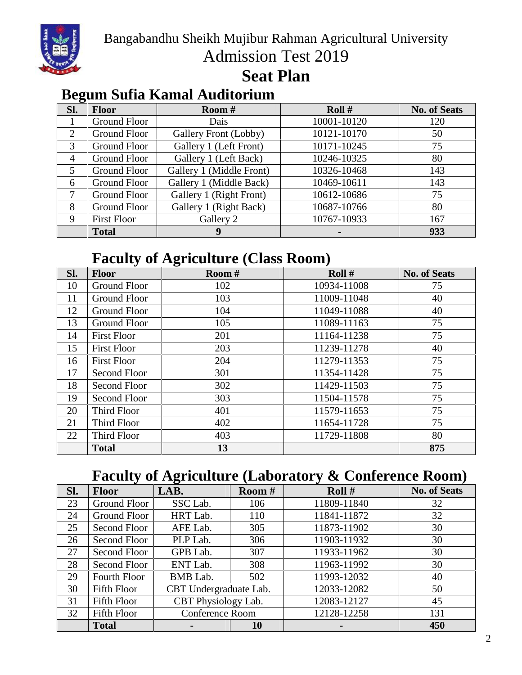

Bangabandhu Sheikh Mujibur Rahman Agricultural University Admission Test 2019

#### **Seat Plan**

#### **Begum Sufia Kamal Auditorium**

| Sl.            | <b>Floor</b>        | <b>Room</b> #            | Roll $#$    | <b>No. of Seats</b> |
|----------------|---------------------|--------------------------|-------------|---------------------|
|                | Ground Floor        | Dais                     | 10001-10120 | 120                 |
| $\overline{2}$ | Ground Floor        | Gallery Front (Lobby)    | 10121-10170 | 50                  |
| 3              | Ground Floor        | Gallery 1 (Left Front)   | 10171-10245 | 75                  |
| $\overline{4}$ | <b>Ground Floor</b> | Gallery 1 (Left Back)    | 10246-10325 | 80                  |
| 5              | <b>Ground Floor</b> | Gallery 1 (Middle Front) | 10326-10468 | 143                 |
| 6              | Ground Floor        | Gallery 1 (Middle Back)  | 10469-10611 | 143                 |
|                | <b>Ground Floor</b> | Gallery 1 (Right Front)  | 10612-10686 | 75                  |
| 8              | Ground Floor        | Gallery 1 (Right Back)   | 10687-10766 | 80                  |
| 9              | <b>First Floor</b>  | Gallery 2                | 10767-10933 | 167                 |
|                | <b>Total</b>        | 9                        |             | 933                 |

### **Faculty of Agriculture (Class Room)**

| Sl. | <b>Floor</b>       | Room # | Roll $#$    | <b>No. of Seats</b> |
|-----|--------------------|--------|-------------|---------------------|
| 10  | Ground Floor       | 102    | 10934-11008 | 75                  |
| 11  | Ground Floor       | 103    | 11009-11048 | 40                  |
| 12  | Ground Floor       | 104    | 11049-11088 | 40                  |
| 13  | Ground Floor       | 105    | 11089-11163 | 75                  |
| 14  | <b>First Floor</b> | 201    | 11164-11238 | 75                  |
| 15  | <b>First Floor</b> | 203    | 11239-11278 | 40                  |
| 16  | <b>First Floor</b> | 204    | 11279-11353 | 75                  |
| 17  | Second Floor       | 301    | 11354-11428 | 75                  |
| 18  | Second Floor       | 302    | 11429-11503 | 75                  |
| 19  | Second Floor       | 303    | 11504-11578 | 75                  |
| 20  | Third Floor        | 401    | 11579-11653 | 75                  |
| 21  | Third Floor        | 402    | 11654-11728 | 75                  |
| 22  | Third Floor        | 403    | 11729-11808 | 80                  |
|     | <b>Total</b>       | 13     |             | 875                 |

#### **Faculty of Agriculture (Laboratory & Conference Room)**

| Sl. | <b>Floor</b> | LAB.                   | <b>Room</b> # | Roll $#$    | <b>No. of Seats</b> |
|-----|--------------|------------------------|---------------|-------------|---------------------|
| 23  | Ground Floor | SSC Lab.               | 106           | 11809-11840 | 32                  |
| 24  | Ground Floor | HRT Lab.               | 110           | 11841-11872 | 32                  |
| 25  | Second Floor | AFE Lab.               | 305           | 11873-11902 | 30                  |
| 26  | Second Floor | PLP Lab.               | 306           | 11903-11932 | 30                  |
| 27  | Second Floor | GPB Lab.               | 307           | 11933-11962 | 30                  |
| 28  | Second Floor | ENT Lab.               | 308           | 11963-11992 | 30                  |
| 29  | Fourth Floor | BMB Lab.               | 502           | 11993-12032 | 40                  |
| 30  | Fifth Floor  | CBT Undergraduate Lab. |               | 12033-12082 | 50                  |
| 31  | Fifth Floor  | CBT Physiology Lab.    |               | 12083-12127 | 45                  |
| 32  | Fifth Floor  | <b>Conference Room</b> |               | 12128-12258 | 131                 |
|     | <b>Total</b> |                        | 10            |             | 450                 |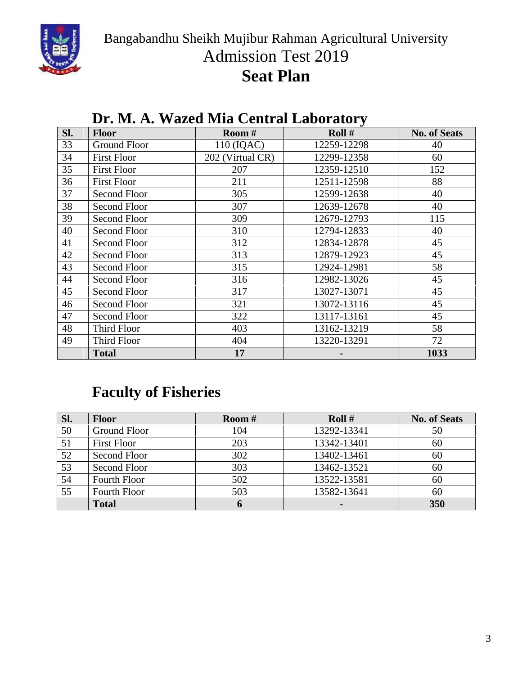

Bangabandhu Sheikh Mujibur Rahman Agricultural University Admission Test 2019

# **Seat Plan**

| SI. | <b>Floor</b>        | Room #           | Roll $#$    | <b>No. of Seats</b> |
|-----|---------------------|------------------|-------------|---------------------|
| 33  | <b>Ground Floor</b> | 110 (IQAC)       | 12259-12298 | 40                  |
| 34  | <b>First Floor</b>  | 202 (Virtual CR) | 12299-12358 | 60                  |
| 35  | <b>First Floor</b>  | 207              | 12359-12510 | 152                 |
| 36  | <b>First Floor</b>  | 211              | 12511-12598 | 88                  |
| 37  | Second Floor        | 305              | 12599-12638 | 40                  |
| 38  | <b>Second Floor</b> | 307              | 12639-12678 | 40                  |
| 39  | Second Floor        | 309              | 12679-12793 | 115                 |
| 40  | Second Floor        | 310              | 12794-12833 | 40                  |
| 41  | <b>Second Floor</b> | 312              | 12834-12878 | 45                  |
| 42  | <b>Second Floor</b> | 313              | 12879-12923 | 45                  |
| 43  | <b>Second Floor</b> | 315              | 12924-12981 | 58                  |
| 44  | <b>Second Floor</b> | 316              | 12982-13026 | 45                  |
| 45  | <b>Second Floor</b> | 317              | 13027-13071 | 45                  |
| 46  | Second Floor        | 321              | 13072-13116 | 45                  |
| 47  | <b>Second Floor</b> | 322              | 13117-13161 | 45                  |
| 48  | Third Floor         | 403              | 13162-13219 | 58                  |
| 49  | Third Floor         | 404              | 13220-13291 | 72                  |
|     | <b>Total</b>        | 17               |             | 1033                |

#### **Dr. M. A. Wazed Mia Central Laboratory**

## **Faculty of Fisheries**

| Sl. | <b>Floor</b>       | Room $#$ | Roll $#$       | <b>No. of Seats</b> |
|-----|--------------------|----------|----------------|---------------------|
| 50  | Ground Floor       | 104      | 13292-13341    | 50                  |
| 51  | <b>First Floor</b> | 203      | 13342-13401    | 60                  |
| 52  | Second Floor       | 302      | 13402-13461    | 60                  |
| 53  | Second Floor       | 303      | 13462-13521    | 60                  |
| 54  | Fourth Floor       | 502      | 13522-13581    | 60                  |
| 55  | Fourth Floor       | 503      | 13582-13641    | 60                  |
|     | <b>Total</b>       |          | $\blacksquare$ | 350                 |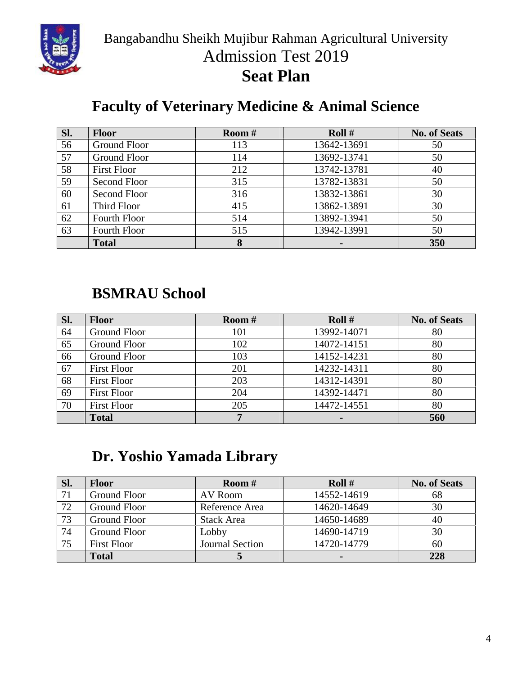

Bangabandhu Sheikh Mujibur Rahman Agricultural University Admission Test 2019 **Seat Plan**

## **Faculty of Veterinary Medicine & Animal Science**

| Sl. | <b>Floor</b>       | <b>Room</b> # | Roll $#$    | <b>No. of Seats</b> |
|-----|--------------------|---------------|-------------|---------------------|
| 56  | Ground Floor       | 113           | 13642-13691 | 50                  |
| 57  | Ground Floor       | 114           | 13692-13741 | 50                  |
| 58  | <b>First Floor</b> | 212           | 13742-13781 | 40                  |
| 59  | Second Floor       | 315           | 13782-13831 | 50                  |
| 60  | Second Floor       | 316           | 13832-13861 | 30                  |
| 61  | Third Floor        | 415           | 13862-13891 | 30                  |
| 62  | Fourth Floor       | 514           | 13892-13941 | 50                  |
| 63  | Fourth Floor       | 515           | 13942-13991 | 50                  |
|     | <b>Total</b>       |               |             | 350                 |

#### **BSMRAU School**

| Sl. | <b>Floor</b>        | Room $#$ | Roll $#$    | <b>No. of Seats</b> |
|-----|---------------------|----------|-------------|---------------------|
| 64  | <b>Ground Floor</b> | 101      | 13992-14071 | 80                  |
| 65  | Ground Floor        | 102      | 14072-14151 | 80                  |
| 66  | Ground Floor        | 103      | 14152-14231 | 80                  |
| 67  | <b>First Floor</b>  | 201      | 14232-14311 | 80                  |
| 68  | <b>First Floor</b>  | 203      | 14312-14391 | 80                  |
| 69  | <b>First Floor</b>  | 204      | 14392-14471 | 80                  |
| 70  | <b>First Floor</b>  | 205      | 14472-14551 | 80                  |
|     | <b>Total</b>        |          |             | 560                 |

## **Dr. Yoshio Yamada Library**

| Sl. | <b>Floor</b>        | <b>Room</b> #     | Roll $#$    | <b>No. of Seats</b> |
|-----|---------------------|-------------------|-------------|---------------------|
|     | Ground Floor        | AV Room           | 14552-14619 | 68                  |
| 72  | <b>Ground Floor</b> | Reference Area    | 14620-14649 | 30                  |
| 73  | <b>Ground Floor</b> | <b>Stack Area</b> | 14650-14689 | 40                  |
| 74  | <b>Ground Floor</b> | Lobby             | 14690-14719 | 30                  |
| 75  | <b>First Floor</b>  | Journal Section   | 14720-14779 | 60                  |
|     | <b>Total</b>        |                   |             | 228                 |